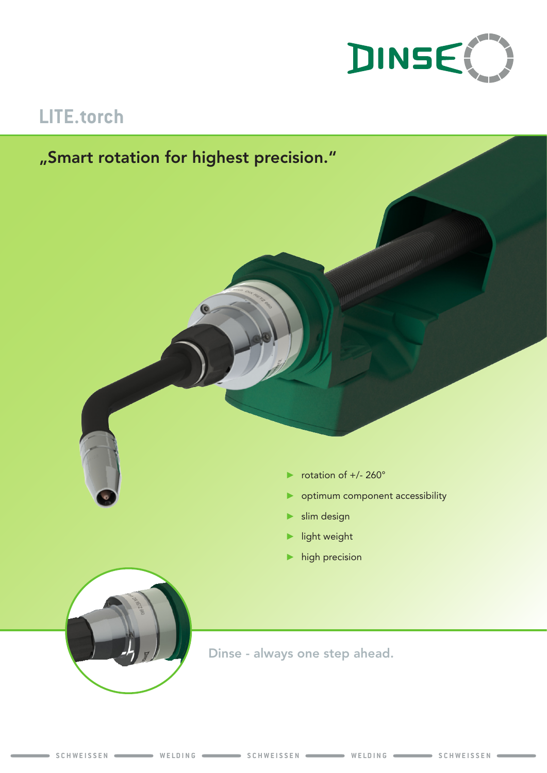

# **LITE.torch**

## "Smart rotation for highest precision."



- rotation of +/- 260°
- ► optimum component accessibility
- ► slim design
- ► light weight
- $\blacktriangleright$  high precision



Dinse - always one step ahead.